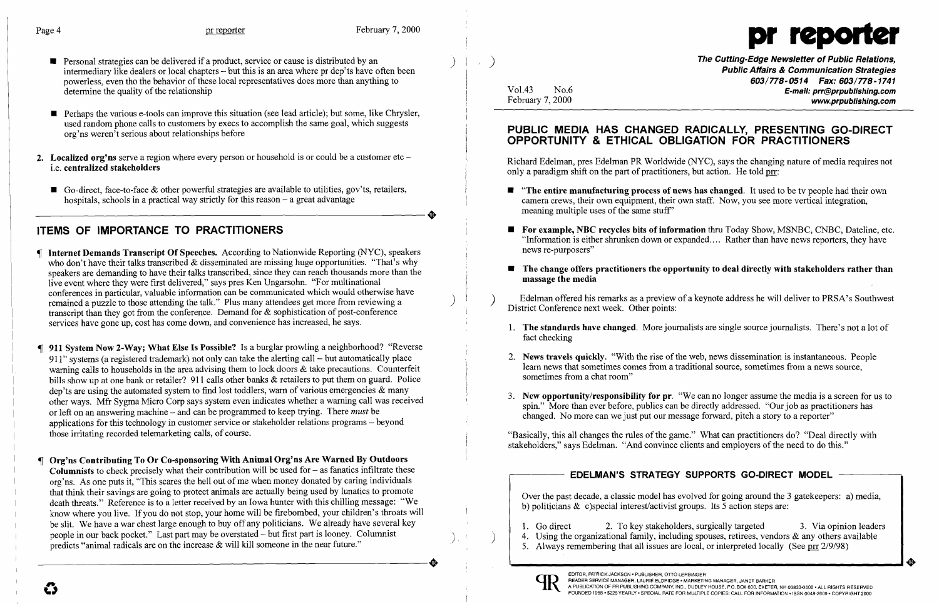- **•** Personal strategies can be delivered if a product, service or cause is distributed by an intermediary like dealers or local chapters - but this is an area where pr dep'ts have often been powerless, even tho the behavior of these local representatives does more than anything to determine the quality of the relationship
- Perhaps the various e-tools can improve this situation (see lead article); but some, like Chrysler, used random phone calls to customers by execs to accomplish the same goal, which suggests org'ns weren't serious about relationships before
- 2. Localized org'ns serve a region where every person or household is or could be a customer etc  $$ i.e. centralized stakeholders
- Go-direct, face-to-face & other powerful strategies are available to utilities, gov'ts, retailers, hospitals, schools in a practical way strictly for this reason a great advantage hospitals, schools in a practical way strictly for this reason – a great advantage



Vo1.43 No.6 February 7, 2000

)  $| \cdot \rangle$ 

## PUBLIC MEDIA HAS CHANGED RADICALLY, PRESENTING GO-DIRECT OPPORTUNITY & ETHICAL OBLIGATION FOR PRACTITIONERS

Richard Edelman, pres Edelman PR Worldwide (NYC), says the changing nature of media requires not only a paradigm shift on the part of practitioners, but action. He told prr:

The Cutting-Edge Newsletter of Public Relations, Public Affairs & Communication Strategies *603/778-0514 Fax: 603/778-1741*  E-mail: prr@prpublishing.com www.prpublishing.com

 $\blacksquare$  "The entire manufacturing process of news has changed. It used to be tv people had their own

**• For example, NBC recycles bits of information** thru Today Show, MSNBC, CNBC, Dateline, etc. "Information is either shrunken down or expanded. ... Rather than have news reporters, they have

### $\blacksquare$  The change offers practitioners the opportunity to deal directly with stakeholders rather than

I I

> I I

# ITEMS OF IMPORTANCE TO PRACTITIONERS

- Internet Demands Transcript Of Speeches. According to Nationwide Reporting (NYC), speakers who don't have their talks transcribed & disseminated are missing huge opportunities. "That's why speakers are demanding to have their talks transcribed, since they can reach thousands more than the live event where they were first delivered," says pres Ken Ungarsohn. "For multinational conferences in particular, valuable information can be communicated which would otherwise have remained a puzzle to those attending the talk." Plus many attendees get more from reviewing a transcript than they got from the conference. Demand for & sophistication of post-conference services have gone up, cost has come down, and convenience has increased, he says.
- 911 System Now 2-Way; What Else Is Possible? Is a burglar prowling a neighborhood? "Reverse 911" systems (a registered trademark) not only can take the alerting call- but automatically place warning calls to households in the area advising them to lock doors & take precautions. Counterfeit bills show up at one bank or retailer? 911 calls other banks & retailers to put them on guard. Police dep'ts are using the automated system to find lost toddlers, warn of various emergencies & many other ways. Mfr Sygma Micro Corp says system even indicates whether a warning call was received or left on an answering machine - and can be programmed to keep trying. There *must* be applications for this technology in customer service or stakeholder relations programs - beyond those irritating recorded telemarketing calls, of course. "Basically, this all changes the rules ofthe game." What can practitioners do? "Deal directly with
- Org'ns Contributing To Or Co-sponsoring With Animal Org'ns Are Warned By Outdoors Columnists to check precisely what their contribution will be used for  $-$  as fanatics infiltrate these org'ns. As one puts it, "This scares the hell out of me when money donated by caring individuals that think their savings are going to protect animals are actually being used by lunatics to promote death threats." Reference is to a letter received by an Iowa hunter with this chilling message: "We know where you live. If you do not stop, your home will be firebombed, your children's throats will be slit. We have a war chest large enough to buy off any politicians. We already have several key people in our back pocket." Last part may be overstated – but first part is looney. Columnist people in our back pocket." Last part may be overstated - but first part is looney. Columnist predicts "animal radicals are on the increase & will kill someone in the near future."

3. New opportunity/responsibility for pr. "We can no longer assume the media is a screen for us to spin." More than ever before, publics can be directly addressed. "Our job as practitioners has

1. Go direct 2. To key stakeholders, surgically targeted 3. Via opinion leaders 4. Using the organizational family, including spouses, retirees, vendors  $\&$  any others available 5. Always remembering that all issues are local, or interpreted locally (See prr  $2/9/98$ )

) )

- camera crews, their own equipment, their own staff. Now, you see more vertical integration, meaning multiple uses of the same stuff"
- news re-purposers"
- massage the media
- District Conference next week. Other points:
- fact checking
- 2. News travels quickly. "With the rise of the web, news dissemination is instantaneous. People learn news that sometimes comes from a traditional source, sometimes from a news source, sometimes from a chat room"
- changed. No more can we just put our message forward, pitch a story to a reporter"

stakeholders," says Edelman. "And convince clients and employers of the need to do this."

Edelman offered his remarks as a preview of a keynote address he will deliver to PRSA's Southwest

1. The standards have changed. More journalists are single source journalists. There's not a lot of

## EDELMAN'S STRATEGY SUPPORTS GO-DIRECT MODEL

Over the past decade, a classic model has evolved for going around the 3 gatekeepers: a) media, b) politicians & c)special interest/activist groups. Its 5 action steps are:

- 
- 
-